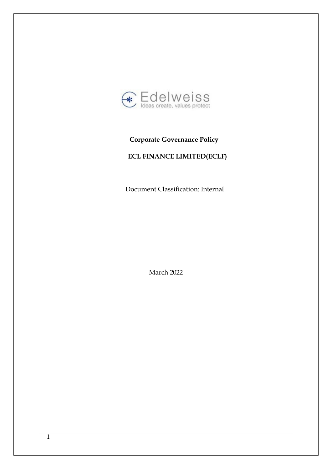

# **Corporate Governance Policy**

# **ECL FINANCE LIMITED(ECLF)**

Document Classification: Internal

March 2022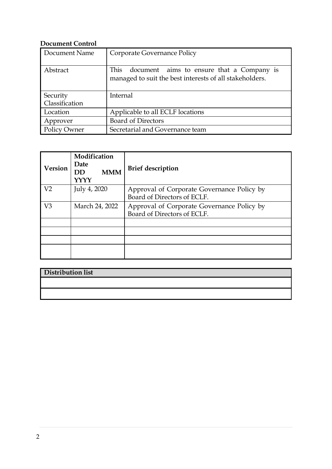# **Document Control**

| Document Name       | Corporate Governance Policy                                                                                  |  |  |
|---------------------|--------------------------------------------------------------------------------------------------------------|--|--|
| Abstract            | This<br>document aims to ensure that a Company is<br>managed to suit the best interests of all stakeholders. |  |  |
| Security            | Internal                                                                                                     |  |  |
| Classification      |                                                                                                              |  |  |
| Location            | Applicable to all ECLF locations                                                                             |  |  |
| Approver            | <b>Board of Directors</b>                                                                                    |  |  |
| <b>Policy Owner</b> | Secretarial and Governance team                                                                              |  |  |

| <b>Version</b> | Modification<br>Date<br><b>MMM</b><br><b>DD</b><br>YYYY | <b>Brief description</b>                                                  |
|----------------|---------------------------------------------------------|---------------------------------------------------------------------------|
| V <sub>2</sub> | July 4, 2020                                            | Approval of Corporate Governance Policy by<br>Board of Directors of ECLF. |
| V <sub>3</sub> | March 24, 2022                                          | Approval of Corporate Governance Policy by<br>Board of Directors of ECLF. |
|                |                                                         |                                                                           |
|                |                                                         |                                                                           |
|                |                                                         |                                                                           |

| <b>Distribution list</b> |  |  |
|--------------------------|--|--|
|                          |  |  |
|                          |  |  |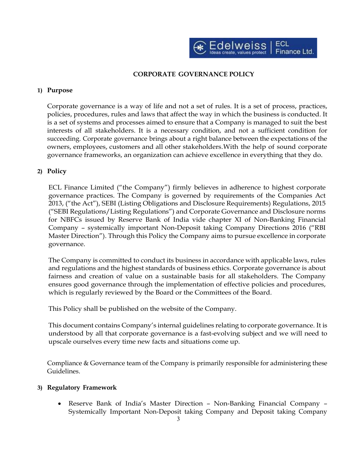

# **CORPORATE GOVERNANCE POLICY**

#### **1) Purpose**

Corporate governance is a way of life and not a set of rules. It is a set of process, practices, policies, procedures, rules and laws that affect the way in which the business is conducted. It is a set of systems and processes aimed to ensure that a Company is managed to suit the best interests of all stakeholders. It is a necessary condition, and not a sufficient condition for succeeding. Corporate governance brings about a right balance between the expectations of the owners, employees, customers and all other stakeholders.With the help of sound corporate governance frameworks, an organization can achieve excellence in everything that they do.

## **2) Policy**

ECL Finance Limited ("the Company") firmly believes in adherence to highest corporate governance practices. The Company is governed by requirements of the Companies Act 2013, ("the Act"), SEBI (Listing Obligations and Disclosure Requirements) Regulations, 2015 ("SEBI Regulations/Listing Regulations") and Corporate Governance and Disclosure norms for NBFCs issued by Reserve Bank of India vide chapter XI of Non-Banking Financial Company – systemically important Non-Deposit taking Company Directions 2016 ("RBI Master Direction"). Through this Policy the Company aims to pursue excellence in corporate governance.

The Company is committed to conduct its business in accordance with applicable laws, rules and regulations and the highest standards of business ethics. Corporate governance is about fairness and creation of value on a sustainable basis for all stakeholders. The Company ensures good governance through the implementation of effective policies and procedures, which is regularly reviewed by the Board or the Committees of the Board.

This Policy shall be published on the website of the Company.

This document contains Company's internal guidelines relating to corporate governance. It is understood by all that corporate governance is a fast-evolving subject and we will need to upscale ourselves every time new facts and situations come up.

Compliance & Governance team of the Company is primarily responsible for administering these Guidelines.

#### **3) Regulatory Framework**

• Reserve Bank of India's Master Direction – Non-Banking Financial Company – Systemically Important Non-Deposit taking Company and Deposit taking Company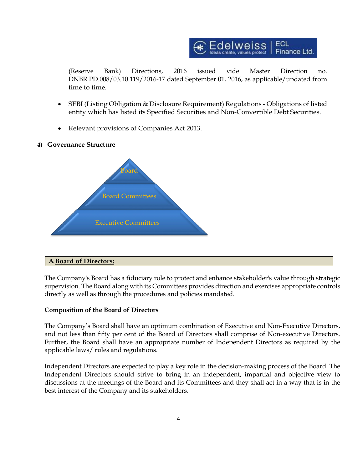

(Reserve Bank) Directions, 2016 issued vide Master Direction no. DNBR.PD.008/03.10.119/2016-17 dated September 01, 2016, as applicable/updated from time to time.

- SEBI (Listing Obligation & Disclosure Requirement) Regulations Obligations of listed entity which has listed its Specified Securities and Non-Convertible Debt Securities.
- Relevant provisions of Companies Act 2013.

## **4) Governance Structure**



# **A. Board of Directors:**

The Company's Board has a fiduciary role to protect and enhance stakeholder's value through strategic supervision. The Board along with its Committees provides direction and exercises appropriate controls directly as well as through the procedures and policies mandated.

# **Composition of the Board of Directors**

The Company's Board shall have an optimum combination of Executive and Non-Executive Directors, and not less than fifty per cent of the Board of Directors shall comprise of Non-executive Directors. Further, the Board shall have an appropriate number of Independent Directors as required by the applicable laws/ rules and regulations.

Independent Directors are expected to play a key role in the decision-making process of the Board. The Independent Directors should strive to bring in an independent, impartial and objective view to discussions at the meetings of the Board and its Committees and they shall act in a way that is in the best interest of the Company and its stakeholders.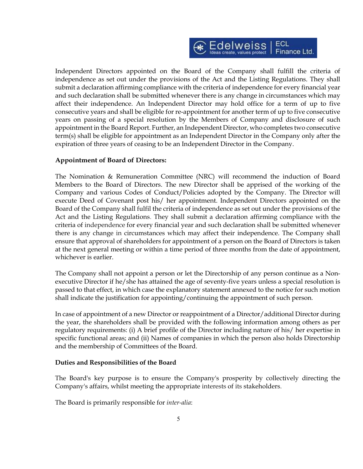

Independent Directors appointed on the Board of the Company shall fulfill the criteria of independence as set out under the provisions of the Act and the Listing Regulations. They shall submit a declaration affirming compliance with the criteria of independence for every financial year and such declaration shall be submitted whenever there is any change in circumstances which may affect their independence. An Independent Director may hold office for a term of up to five consecutive years and shall be eligible for re-appointment for another term of up to five consecutive years on passing of a special resolution by the Members of Company and disclosure of such appointment in the Board Report. Further, an Independent Director, who completes two consecutive term(s) shall be eligible for appointment as an Independent Director in the Company only after the expiration of three years of ceasing to be an Independent Director in the Company.

#### **Appointment of Board of Directors:**

The Nomination & Remuneration Committee (NRC) will recommend the induction of Board Members to the Board of Directors. The new Director shall be apprised of the working of the Company and various Codes of Conduct/Policies adopted by the Company. The Director will execute Deed of Covenant post his/ her appointment. Independent Directors appointed on the Board of the Company shall fulfil the criteria of independence as set out under the provisions of the Act and the Listing Regulations. They shall submit a declaration affirming compliance with the criteria of independence for every financial year and such declaration shall be submitted whenever there is any change in circumstances which may affect their independence. The Company shall ensure that approval of shareholders for appointment of a person on the Board of Directors is taken at the next general meeting or within a time period of three months from the date of appointment, whichever is earlier.

The Company shall not appoint a person or let the Directorship of any person continue as a Nonexecutive Director if he/she has attained the age of seventy-five years unless a special resolution is passed to that effect, in which case the explanatory statement annexed to the notice for such motion shall indicate the justification for appointing/continuing the appointment of such person*.*

In case of appointment of a new Director or reappointment of a Director/additional Director during the year, the shareholders shall be provided with the following information among others as per regulatory requirements: (i) A brief profile of the Director including nature of his/ her expertise in specific functional areas; and (ii) Names of companies in which the person also holds Directorship and the membership of Committees of the Board.

#### **Duties and Responsibilities of the Board**

The Board's key purpose is to ensure the Company's prosperity by collectively directing the Company's affairs, whilst meeting the appropriate interests of its stakeholders.

The Board is primarily responsible for *inter-alia*: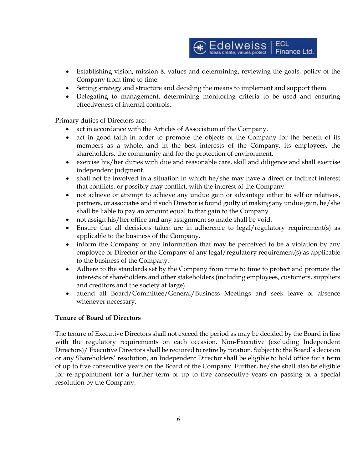

- Establishing vision, mission & values and determining, reviewing the goals, policy of the Company from time to time.
- Setting strategy and structure and deciding the means to implement and support them.
- Delegating to management, determining monitoring criteria to be used and ensuring effectiveness of internal controls.

Primary duties of Directors are:

- act in accordance with the Articles of Association of the Company.
- act in good faith in order to promote the objects of the Company for the benefit of its members as a whole, and in the best interests of the Company, its employees, the shareholders, the community and for the protection of environment.
- exercise his/her duties with due and reasonable care, skill and diligence and shall exercise independent judgment.
- shall not be involved in a situation in which he/she may have a direct or indirect interest that conflicts, or possibly may conflict, with the interest of the Company.
- not achieve or attempt to achieve any undue gain or advantage either to self or relatives, partners, or associates and if such Director is found guilty of making any undue gain, he/she shall be liable to pay an amount equal to that gain to the Company.
- not assign his/her office and any assignment so made shall be void.
- Ensure that all decisions taken are in adherence to legal/regulatory requirement(s) as applicable to the business of the Company.
- inform the Company of any information that may be perceived to be a violation by any employee or Director or the Company of any legal/regulatory requirement(s) as applicable to the business of the Company.
- Adhere to the standards set by the Company from time to time to protect and promote the interests of shareholders and other stakeholders (including employees, customers, suppliers and creditors and the society at large).
- attend all Board/Committee/General/Business Meetings and seek leave of absence whenever necessary.

# **Tenure of Board of Directors**

The tenure of Executive Directors shall not exceed the period as may be decided by the Board in line with the regulatory requirements on each occasion. Non-Executive (excluding Independent Directors)/ Executive Directors shall be required to retire by rotation. Subject to the Board's decision or any Shareholders' resolution, an Independent Director shall be eligible to hold office for a term of up to five consecutive years on the Board of the Company. Further, he/she shall also be eligible for re-appointment for a further term of up to five consecutive years on passing of a special resolution by the Company.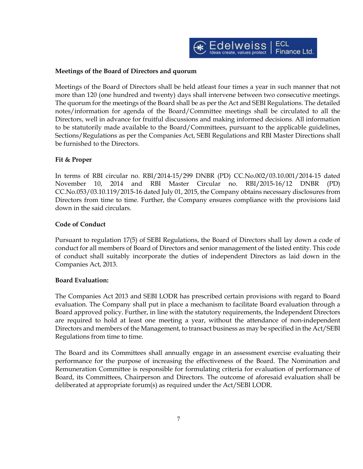

## **Meetings of the Board of Directors and quorum**

Meetings of the Board of Directors shall be held atleast four times a year in such manner that not more than 120 (one hundred and twenty) days shall intervene between two consecutive meetings. The quorum for the meetings of the Board shall be as per the Act and SEBI Regulations. The detailed notes/information for agenda of the Board/Committee meetings shall be circulated to all the Directors, well in advance for fruitful discussions and making informed decisions. All information to be statutorily made available to the Board/Committees, pursuant to the applicable guidelines, Sections/Regulations as per the Companies Act, SEBI Regulations and RBI Master Directions shall be furnished to the Directors.

## **Fit & Proper**

In terms of RBI circular no. RBI/2014-15/299 DNBR (PD) CC.No.002/03.10.001/2014-15 dated November 10, 2014 and RBI Master Circular no. RBI/2015-16/12 DNBR (PD) CC.No.053/03.10.119/2015-16 dated July 01, 2015, the Company obtains necessary disclosures from Directors from time to time. Further, the Company ensures compliance with the provisions laid down in the said circulars.

## **Code of Conduct**

Pursuant to regulation 17(5) of SEBI Regulations, the Board of Directors shall lay down a code of conduct for all members of Board of Directors and senior management of the listed entity. This code of conduct shall suitably incorporate the duties of independent Directors as laid down in the Companies Act, 2013.

# **Board Evaluation:**

The Companies Act 2013 and SEBI LODR has prescribed certain provisions with regard to Board evaluation. The Company shall put in place a mechanism to facilitate Board evaluation through a Board approved policy. Further, in line with the statutory requirements, the Independent Directors are required to hold at least one meeting a year, without the attendance of non-independent Directors and members of the Management, to transact business as may be specified in the Act/SEBI Regulations from time to time.

The Board and its Committees shall annually engage in an assessment exercise evaluating their performance for the purpose of increasing the effectiveness of the Board. The Nomination and Remuneration Committee is responsible for formulating criteria for evaluation of performance of Board, its Committees, Chairperson and Directors. The outcome of aforesaid evaluation shall be deliberated at appropriate forum(s) as required under the Act/SEBI LODR.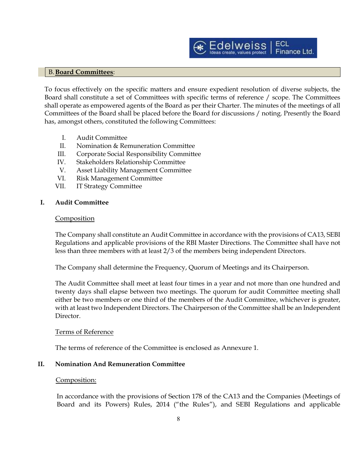

#### B.**Board Committees**:

To focus effectively on the specific matters and ensure expedient resolution of diverse subjects, the Board shall constitute a set of Committees with specific terms of reference / scope. The Committees shall operate as empowered agents of the Board as per their Charter. The minutes of the meetings of all Committees of the Board shall be placed before the Board for discussions / noting. Presently the Board has, amongst others, constituted the following Committees:

- I. Audit Committee
- II. Nomination & Remuneration Committee
- III. Corporate Social Responsibility Committee
- IV. Stakeholders Relationship Committee
- V. Asset Liability Management Committee
- VI. Risk Management Committee
- VII. IT Strategy Committee

#### **I. Audit Committee**

#### **Composition**

The Company shall constitute an Audit Committee in accordance with the provisions of CA13, SEBI Regulations and applicable provisions of the RBI Master Directions. The Committee shall have not less than three members with at least 2/3 of the members being independent Directors.

The Company shall determine the Frequency, Quorum of Meetings and its Chairperson.

The Audit Committee shall meet at least four times in a year and not more than one hundred and twenty days shall elapse between two meetings. The quorum for audit Committee meeting shall either be two members or one third of the members of the Audit Committee, whichever is greater, with at least two Independent Directors. The Chairperson of the Committee shall be an Independent Director.

#### Terms of Reference

The terms of reference of the Committee is enclosed as Annexure 1.

#### **II. Nomination And Remuneration Committee**

#### Composition:

In accordance with the provisions of Section 178 of the CA13 and the Companies (Meetings of Board and its Powers) Rules, 2014 ("the Rules"), and SEBI Regulations and applicable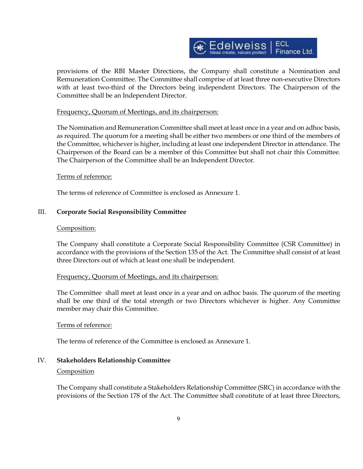

provisions of the RBI Master Directions, the Company shall constitute a Nomination and Remuneration Committee. The Committee shall comprise of at least three non-executive Directors with at least two-third of the Directors being independent Directors. The Chairperson of the Committee shall be an Independent Director.

#### Frequency, Quorum of Meetings, and its chairperson:

The Nomination and Remuneration Committee shall meet at least once in a year and on adhoc basis, as required. The quorum for a meeting shall be either two members or one third of the members of the Committee, whichever is higher, including at least one independent Director in attendance. The Chairperson of the Board can be a member of this Committee but shall not chair this Committee. The Chairperson of the Committee shall be an Independent Director.

#### Terms of reference:

The terms of reference of Committee is enclosed as Annexure 1.

#### III. **Corporate Social Responsibility Committee**

#### Composition:

The Company shall constitute a Corporate Social Responsibility Committee (CSR Committee) in accordance with the provisions of the Section 135 of the Act. The Committee shall consist of at least three Directors out of which at least one shall be independent.

#### Frequency, Quorum of Meetings, and its chairperson:

The Committee shall meet at least once in a year and on adhoc basis. The quorum of the meeting shall be one third of the total strength or two Directors whichever is higher. Any Committee member may chair this Committee.

#### Terms of reference:

The terms of reference of the Committee is enclosed as Annexure 1.

#### IV. **Stakeholders Relationship Committee**

#### Composition

The Company shall constitute a Stakeholders Relationship Committee (SRC) in accordance with the provisions of the Section 178 of the Act. The Committee shall constitute of at least three Directors,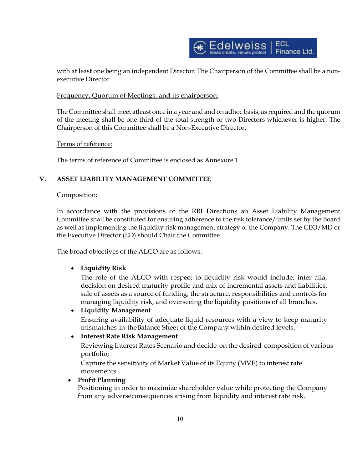

with at least one being an independent Director. The Chairperson of the Committee shall be a nonexecutive Director.

# Frequency, Quorum of Meetings, and its chairperson:

The Committee shall meet atleast once in a year and and on adhoc basis, as required and the quorum of the meeting shall be one third of the total strength or two Directors whichever is higher. The Chairperson of this Committee shall be a Non-Executive Director.

Terms of reference:

The terms of reference of Committee is enclosed as Annexure 1.

# **V. ASSET LIABILITY MANAGEMENT COMMITTEE**

## Composition:

In accordance with the provisions of the RBI Directions an Asset Liability Management Committee shall be constituted for ensuring adherence to the risk tolerance/limits set by the Board as well as implementing the liquidity risk management strategy of the Company. The CEO/MD or the Executive Director (ED) should Chair the Committee.

The broad objectives of the ALCO are as follows:

# • **Liquidity Risk**

The role of the ALCO with respect to liquidity risk would include, inter alia, decision on desired maturity profile and mix of incremental assets and liabilities, sale of assets as a source of funding, the structure, responsibilities and controls for managing liquidity risk, and overseeing the liquidity positions of all branches.

# • **Liquidity Management**

Ensuring availability of adequate liquid resources with a view to keep maturity mismatches in theBalance Sheet of the Company within desired levels.

# • **Interest Rate Risk Management**

Reviewing Interest Rates Scenario and decide on the desired composition of various portfolio;

Capture the sensitivity of Market Value of its Equity (MVE) to interestrate movements.

# • **Profit Planning**

Positioning in order to maximize shareholder value while protecting the Company from any adverseconsequences arising from liquidity and interest rate risk.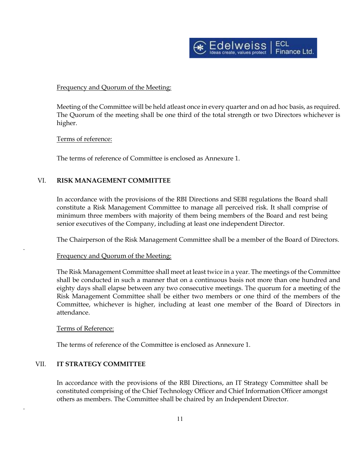

## Frequency and Quorum of the Meeting:

Meeting of the Committee will be held atleast once in every quarter and on ad hoc basis, as required. The Quorum of the meeting shall be one third of the total strength or two Directors whichever is higher.

#### Terms of reference:

The terms of reference of Committee is enclosed as Annexure 1.

# VI. **RISK MANAGEMENT COMMITTEE**

In accordance with the provisions of the RBI Directions and SEBI regulations the Board shall constitute a Risk Management Committee to manage all perceived risk. It shall comprise of minimum three members with majority of them being members of the Board and rest being senior executives of the Company, including at least one independent Director.

The Chairperson of the Risk Management Committee shall be a member of the Board of Directors.

#### Frequency and Quorum of the Meeting:

The Risk Management Committee shall meet at least twice in a year. The meetings of the Committee shall be conducted in such a manner that on a continuous basis not more than one hundred and eighty days shall elapse between any two consecutive meetings. The quorum for a meeting of the Risk Management Committee shall be either two members or one third of the members of the Committee, whichever is higher, including at least one member of the Board of Directors in attendance.

#### Terms of Reference:

.

.

The terms of reference of the Committee is enclosed as Annexure 1.

# VII. **IT STRATEGY COMMITTEE**

In accordance with the provisions of the RBI Directions, an IT Strategy Committee shall be constituted comprising of the Chief Technology Officer and Chief Information Officer amongst others as members. The Committee shall be chaired by an Independent Director.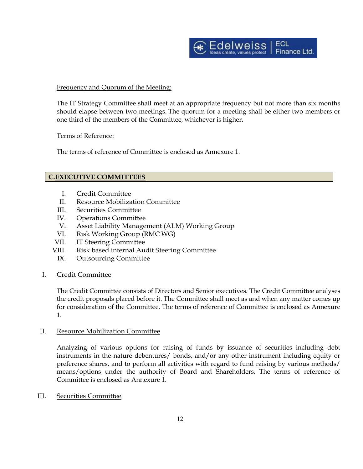

## Frequency and Quorum of the Meeting:

The IT Strategy Committee shall meet at an appropriate frequency but not more than six months should elapse between two meetings. The quorum for a meeting shall be either two members or one third of the members of the Committee, whichever is higher.

#### Terms of Reference:

The terms of reference of Committee is enclosed as Annexure 1.

## **C.EXECUTIVE COMMITTEES**

- I. Credit Committee
- II. Resource Mobilization Committee
- III. Securities Committee
- IV. Operations Committee
- V. Asset Liability Management (ALM) Working Group
- VI. Risk Working Group (RMC WG)
- VII. IT Steering Committee
- VIII. Risk based internal Audit Steering Committee
	- IX. Outsourcing Committee
- I. Credit Committee

The Credit Committee consists of Directors and Senior executives. The Credit Committee analyses the credit proposals placed before it. The Committee shall meet as and when any matter comes up for consideration of the Committee. The terms of reference of Committee is enclosed as Annexure 1.

#### II. Resource Mobilization Committee

Analyzing of various options for raising of funds by issuance of securities including debt instruments in the nature debentures/ bonds, and/or any other instrument including equity or preference shares, and to perform all activities with regard to fund raising by various methods/ means/options under the authority of Board and Shareholders. The terms of reference of Committee is enclosed as Annexure 1.

#### III. Securities Committee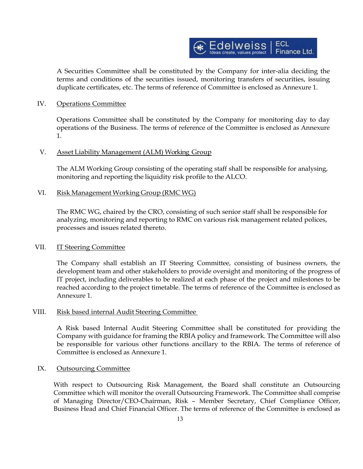

A Securities Committee shall be constituted by the Company for inter-alia deciding the terms and conditions of the securities issued, monitoring transfers of securities, issuing duplicate certificates, etc. The terms of reference of Committee is enclosed as Annexure 1.

#### IV. Operations Committee

Operations Committee shall be constituted by the Company for monitoring day to day operations of the Business. The terms of reference of the Committee is enclosed as Annexure 1.

# V. Asset Liability Management (ALM) Working Group

The ALM Working Group consisting of the operating staff shall be responsible for analysing, monitoring and reporting the liquidity risk profile to the ALCO.

#### VI. Risk Management Working Group (RMC WG)

The RMC WG, chaired by the CRO, consisting of such senior staff shall be responsible for analyzing, monitoring and reporting to RMC on various risk management related polices, processes and issues related thereto.

#### VII. **IT Steering Committee**

The Company shall establish an IT Steering Committee, consisting of business owners, the development team and other stakeholders to provide oversight and monitoring of the progress of IT project, including deliverables to be realized at each phase of the project and milestones to be reached according to the project timetable. The terms of reference of the Committee is enclosed as Annexure 1.

#### VIII. Risk based internal Audit Steering Committee

A Risk based Internal Audit Steering Committee shall be constituted for providing the Company with guidance for framing the RBIA policy and framework. The Committee will also be responsible for various other functions ancillary to the RBIA. The terms of reference of Committee is enclosed as Annexure 1.

#### IX. Outsourcing Committee

With respect to Outsourcing Risk Management, the Board shall constitute an Outsourcing Committee which will monitor the overall Outsourcing Framework. The Committee shall comprise of Managing Director/CEO-Chairman, Risk – Member Secretary, Chief Compliance Officer, Business Head and Chief Financial Officer. The terms of reference of the Committee is enclosed as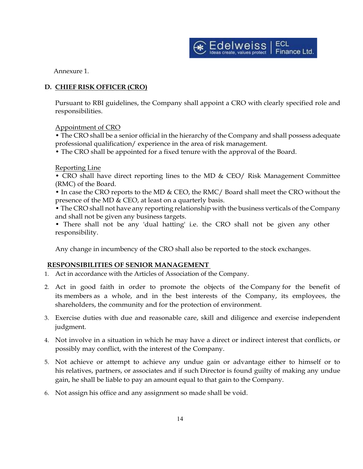

Annexure 1.

# **D. CHIEF RISK OFFICER (CRO)**

Pursuant to RBI guidelines, the Company shall appoint a CRO with clearly specified role and responsibilities.

Appointment of CRO

• The CRO shall be a senior official in the hierarchy of the Company and shall possess adequate professional qualification/ experience in the area of risk management.

• The CRO shall be appointed for a fixed tenure with the approval of the Board.

Reporting Line

• CRO shall have direct reporting lines to the MD & CEO/ Risk Management Committee (RMC) of the Board.

• In case the CRO reports to the MD & CEO, the RMC/ Board shall meet the CRO without the presence of the MD & CEO, at least on a quarterly basis.

• The CRO shall not have any reporting relationship with the business verticals of the Company and shall not be given any business targets.

• There shall not be any 'dual hatting' i.e. the CRO shall not be given any other responsibility.

Any change in incumbency of the CRO shall also be reported to the stock exchanges.

# **RESPONSIBILITIES OF SENIOR MANAGEMENT**

- 1. Act in accordance with the Articles of Association of the Company.
- 2. Act in good faith in order to promote the objects of the [Company](https://www.mca.gov.in/content/mca/global/en/acts-rules/ebooks/acts.html?act=NTk2MQ==) for the benefit of its [members](https://www.mca.gov.in/content/mca/global/en/acts-rules/ebooks/acts.html?act=NTk2MQ==) as a whole, and in the best interests of the Company, its employees, the shareholders, the community and for the protection of environment.
- 3. Exercise duties with due and reasonable care, skill and diligence and exercise independent judgment.
- 4. Not involve in a situation in which he may have a direct or indirect interest that conflicts, or possibly may conflict, with the interest of the Company.
- 5. Not achieve or attempt to achieve any undue gain or advantage either to himself or to his [relatives,](https://www.mca.gov.in/content/mca/global/en/acts-rules/ebooks/acts.html?act=NTk2MQ==) partners, or associates and if such [Director](https://www.mca.gov.in/content/mca/global/en/acts-rules/ebooks/acts.html?act=NTk2MQ==) is found guilty of making any undue gain, he shall be liable to pay an amount equal to that gain to the Company.
- 6. Not assign his office and any assignment so made shall be void.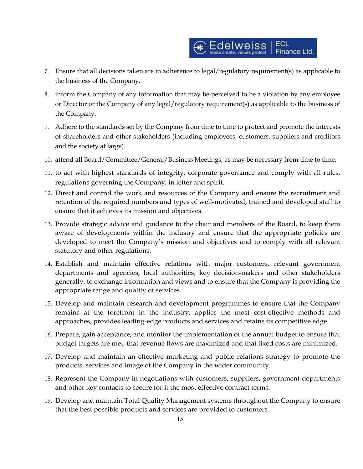- 7. Ensure that all decisions taken are in adherence to legal/regulatory requirement(s) as applicable to the business of the Company.
- 8. inform the Company of any information that may be perceived to be a violation by any employee or Director or the Company of any legal/regulatory requirement(s) as applicable to the business of the Company.
- 9. Adhere to the standards set by the Company from time to time to protect and promote the interests of shareholders and other stakeholders (including employees, customers, suppliers and creditors and the society at large).
- 10. attend all Board/Committee/General/Business Meetings, as may be necessary from time to time.
- 11. to act with highest standards of integrity, corporate governance and comply with all rules, regulations governing the Company, in letter and spirit.
- 12. Direct and control the work and resources of the Company and ensure the recruitment and retention of the required numbers and types of well-motivated, trained and developed staff to ensure that it achieves its mission and objectives.
- 13. Provide strategic advice and guidance to the chair and members of the Board, to keep them aware of developments within the industry and ensure that the appropriate policies are developed to meet the Company's mission and objectives and to comply with all relevant statutory and other regulations.
- 14. Establish and maintain effective relations with major customers, relevant government departments and agencies, local authorities, key decision-makers and other stakeholders generally, to exchange information and views and to ensure that the Company is providing the appropriate range and quality of services.
- 15. Develop and maintain research and development programmes to ensure that the Company remains at the forefront in the industry, applies the most cost-effective methods and approaches, provides leading-edge products and services and retains its competitive edge.
- 16. Prepare, gain acceptance, and monitor the implementation of the annual budget to ensure that budget targets are met, that revenue flows are maximized and that fixed costs are minimized.
- 17. Develop and maintain an effective marketing and public relations strategy to promote the products, services and image of the Company in the wider community.
- 18. Represent the Company in negotiations with customers, suppliers, government departments and other key contacts to secure for it the most effective contract terms.
- 19. Develop and maintain Total Quality Management systems throughout the Company to ensure that the best possible products and services are provided to customers.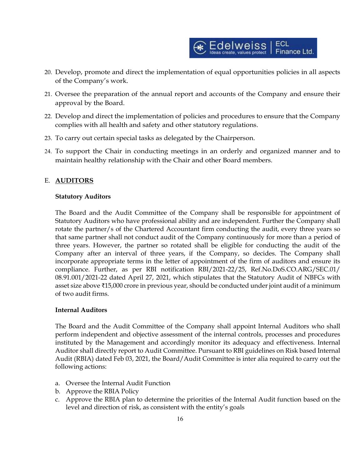

- 20. Develop, promote and direct the implementation of equal opportunities policies in all aspects of the Company's work.
- 21. Oversee the preparation of the annual report and accounts of the Company and ensure their approval by the Board.
- 22. Develop and direct the implementation of policies and procedures to ensure that the Company complies with all health and safety and other statutory regulations.
- 23. To carry out certain special tasks as delegated by the Chairperson.
- 24. To support the Chair in conducting meetings in an orderly and organized manner and to maintain healthy relationship with the Chair and other Board members.

# E. **AUDITORS**

#### **Statutory Auditors**

The Board and the Audit Committee of the Company shall be responsible for appointment of Statutory Auditors who have professional ability and are independent. Further the Company shall rotate the partner/s of the Chartered Accountant firm conducting the audit, every three years so that same partner shall not conduct audit of the Company continuously for more than a period of three years. However, the partner so rotated shall be eligible for conducting the audit of the Company after an interval of three years, if the Company, so decides. The Company shall incorporate appropriate terms in the letter of appointment of the firm of auditors and ensure its compliance. Further, as per RBI notification RBI/2021-22/25, Ref.No.DoS.CO.ARG/SEC.01/ 08.91.001/2021-22 dated April 27, 2021, which stipulates that the Statutory Audit of NBFCs with asset size above ₹15,000 crore in previous year, should be conducted under joint audit of a minimum of two audit firms.

#### **Internal Auditors**

The Board and the Audit Committee of the Company shall appoint Internal Auditors who shall perform independent and objective assessment of the internal controls, processes and procedures instituted by the Management and accordingly monitor its adequacy and effectiveness. Internal Auditor shall directly report to Audit Committee. Pursuant to RBI guidelines on Risk based Internal Audit (RBIA) dated Feb 03, 2021, the Board/Audit Committee is inter alia required to carry out the following actions:

- a. Oversee the Internal Audit Function
- b. Approve the RBIA Policy
- c. Approve the RBIA plan to determine the priorities of the Internal Audit function based on the level and direction of risk, as consistent with the entity's goals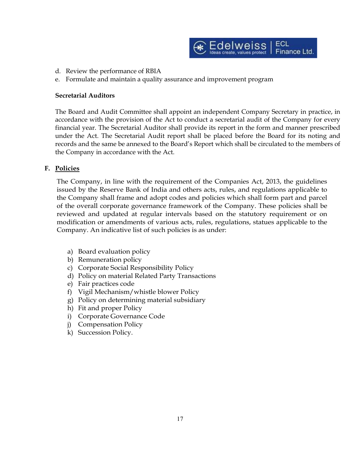

- d. Review the performance of RBIA
- e. Formulate and maintain a quality assurance and improvement program

#### **Secretarial Auditors**

The Board and Audit Committee shall appoint an independent Company Secretary in practice, in accordance with the provision of the Act to conduct a secretarial audit of the Company for every financial year. The Secretarial Auditor shall provide its report in the form and manner prescribed under the Act. The Secretarial Audit report shall be placed before the Board for its noting and records and the same be annexed to the Board's Report which shall be circulated to the members of the Company in accordance with the Act.

#### **F. Policies**

The Company, in line with the requirement of the Companies Act, 2013, the guidelines issued by the Reserve Bank of India and others acts, rules, and regulations applicable to the Company shall frame and adopt codes and policies which shall form part and parcel of the overall corporate governance framework of the Company. These policies shall be reviewed and updated at regular intervals based on the statutory requirement or on modification or amendments of various acts, rules, regulations, statues applicable to the Company. An indicative list of such policies is as under:

- a) Board evaluation policy
- b) Remuneration policy
- c) Corporate Social Responsibility Policy
- d) Policy on material Related Party Transactions
- e) Fair practices code
- f) Vigil Mechanism/whistle blower Policy
- g) Policy on determining material subsidiary
- h) Fit and proper Policy
- i) Corporate Governance Code
- j) Compensation Policy
- k) Succession Policy.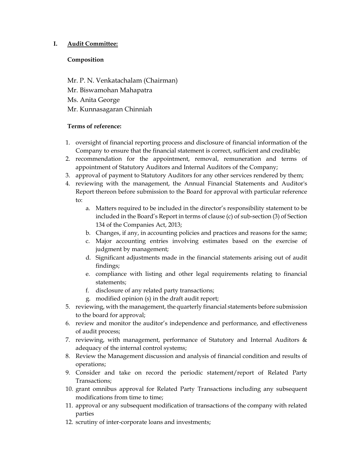# **I. Audit Committee:**

## **Composition**

Mr. P. N. Venkatachalam (Chairman) Mr. Biswamohan Mahapatra Ms. Anita George Mr. Kunnasagaran Chinniah

- 1. oversight of financial reporting process and disclosure of financial information of the Company to ensure that the financial statement is correct, sufficient and creditable;
- 2. recommendation for the appointment, removal, remuneration and terms of appointment of Statutory Auditors and Internal Auditors of the Company;
- 3. approval of payment to Statutory Auditors for any other services rendered by them;
- 4. reviewing with the management, the Annual Financial Statements and Auditor's Report thereon before submission to the Board for approval with particular reference to:
	- a. Matters required to be included in the director's responsibility statement to be included in the Board's Report in terms of clause (c) of sub-section (3) of Section 134 of the Companies Act, 2013;
	- b. Changes, if any, in accounting policies and practices and reasons for the same;
	- c. Major accounting entries involving estimates based on the exercise of judgment by management;
	- d. Significant adjustments made in the financial statements arising out of audit findings;
	- e. compliance with listing and other legal requirements relating to financial statements;
	- f. disclosure of any related party transactions;
	- g. modified opinion (s) in the draft audit report;
- 5. reviewing, with the management, the quarterly financial statements before submission to the board for approval;
- 6. review and monitor the auditor's independence and performance, and effectiveness of audit process;
- 7. reviewing, with management, performance of Statutory and Internal Auditors  $\&$ adequacy of the internal control systems;
- 8. Review the Management discussion and analysis of financial condition and results of operations;
- 9. Consider and take on record the periodic statement/report of Related Party Transactions;
- 10. grant omnibus approval for Related Party Transactions including any subsequent modifications from time to time;
- 11. approval or any subsequent modification of transactions of the company with related parties
- 12. scrutiny of inter-corporate loans and investments;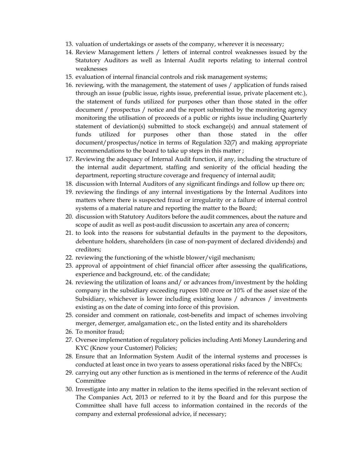- 13. valuation of undertakings or assets of the company, wherever it is necessary;
- 14. Review Management letters / letters of internal control weaknesses issued by the Statutory Auditors as well as Internal Audit reports relating to internal control weaknesses
- 15. evaluation of internal financial controls and risk management systems;
- 16. reviewing, with the management, the statement of uses / application of funds raised through an issue (public issue, rights issue, preferential issue, private placement etc.), the statement of funds utilized for purposes other than those stated in the offer document / prospectus / notice and the report submitted by the monitoring agency monitoring the utilisation of proceeds of a public or rights issue including Quarterly statement of deviation(s) submitted to stock exchange(s) and annual statement of funds utilized for purposes other than those stated in the offer document/prospectus/notice in terms of Regulation 32(7) and making appropriate recommendations to the board to take up steps in this matter ;
- 17. Reviewing the adequacy of Internal Audit function, if any, including the structure of the internal audit department, staffing and seniority of the official heading the department, reporting structure coverage and frequency of internal audit;
- 18. discussion with Internal Auditors of any significant findings and follow up there on;
- 19. reviewing the findings of any internal investigations by the Internal Auditors into matters where there is suspected fraud or irregularity or a failure of internal control systems of a material nature and reporting the matter to the Board;
- 20. discussion with Statutory Auditors before the audit commences, about the nature and scope of audit as well as post-audit discussion to ascertain any area of concern;
- 21. to look into the reasons for substantial defaults in the payment to the depositors, debenture holders, shareholders (in case of non-payment of declared dividends) and creditors;
- 22. reviewing the functioning of the whistle blower/vigil mechanism;
- 23. approval of appointment of chief financial officer after assessing the qualifications, experience and background, etc. of the candidate;
- 24. reviewing the utilization of loans and/ or advances from/investment by the holding company in the subsidiary exceeding rupees 100 crore or 10% of the asset size of the Subsidiary, whichever is lower including existing loans / advances / investments existing as on the date of coming into force of this provision.
- 25. consider and comment on rationale, cost-benefits and impact of schemes involving merger, demerger, amalgamation etc., on the listed entity and its shareholders
- 26. To monitor fraud;
- 27. Oversee implementation of regulatory policies including Anti Money Laundering and KYC (Know your Customer) Policies;
- 28. Ensure that an Information System Audit of the internal systems and processes is conducted at least once in two years to assess operational risks faced by the NBFCs;
- 29. carrying out any other function as is mentioned in the terms of reference of the Audit Committee
- 30. Investigate into any matter in relation to the items specified in the relevant section of The Companies Act, 2013 or referred to it by the Board and for this purpose the Committee shall have full access to information contained in the records of the company and external professional advice, if necessary;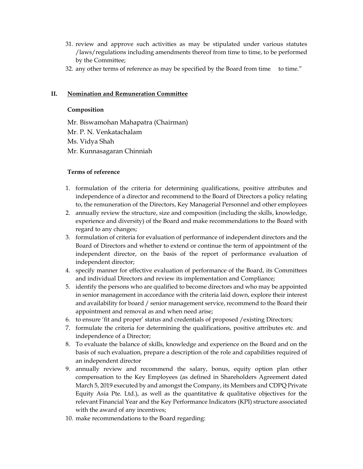- 31. review and approve such activities as may be stipulated under various statutes /laws/regulations including amendments thereof from time to time, to be performed by the Committee;
- 32. any other terms of reference as may be specified by the Board from time to time."

## **II. Nomination and Remuneration Committee**

## **Composition**

Mr. Biswamohan Mahapatra (Chairman) Mr. P. N. Venkatachalam Ms. Vidya Shah Mr. Kunnasagaran Chinniah

- 1. formulation of the criteria for determining qualifications, positive attributes and independence of a director and recommend to the Board of Directors a policy relating to, the remuneration of the Directors, Key Managerial Personnel and other employees
- 2. annually review the structure, size and composition (including the skills, knowledge, experience and diversity) of the Board and make recommendations to the Board with regard to any changes;
- 3. formulation of criteria for evaluation of performance of independent directors and the Board of Directors and whether to extend or continue the term of appointment of the independent director, on the basis of the report of performance evaluation of independent director;
- 4. specify manner for effective evaluation of performance of the Board, its Committees and individual Directors and review its implementation and Compliance;
- 5. identify the persons who are qualified to become directors and who may be appointed in senior management in accordance with the criteria laid down, explore their interest and availability for board / senior management service, recommend to the Board their appointment and removal as and when need arise;
- 6. to ensure 'fit and proper' status and credentials of proposed /existing Directors;
- 7. formulate the criteria for determining the qualifications, positive attributes etc. and independence of a Director;
- 8. To evaluate the balance of skills, knowledge and experience on the Board and on the basis of such evaluation, prepare a description of the role and capabilities required of an independent director
- 9. annually review and recommend the salary, bonus, equity option plan other compensation to the Key Employees (as defined in Shareholders Agreement dated March 5, 2019 executed by and amongst the Company, its Members and CDPQ Private Equity Asia Pte. Ltd.), as well as the quantitative & qualitative objectives for the relevant Financial Year and the Key Performance Indicators (KPI) structure associated with the award of any incentives;
- 10. make recommendations to the Board regarding: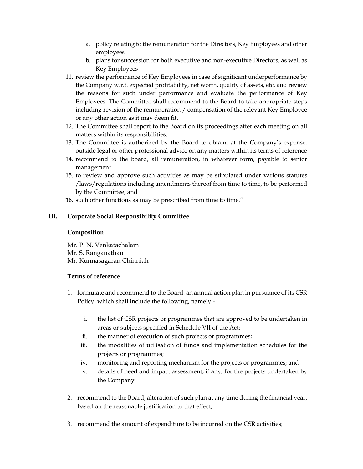- a. policy relating to the remuneration for the Directors, Key Employees and other employees
- b. plans for succession for both executive and non-executive Directors, as well as Key Employees
- 11. review the performance of Key Employees in case of significant underperformance by the Company w.r.t. expected profitability, net worth, quality of assets, etc. and review the reasons for such under performance and evaluate the performance of Key Employees. The Committee shall recommend to the Board to take appropriate steps including revision of the remuneration / compensation of the relevant Key Employee or any other action as it may deem fit.
- 12. The Committee shall report to the Board on its proceedings after each meeting on all matters within its responsibilities.
- 13. The Committee is authorized by the Board to obtain, at the Company's expense, outside legal or other professional advice on any matters within its terms of reference
- 14. recommend to the board, all remuneration, in whatever form, payable to senior management.
- 15. to review and approve such activities as may be stipulated under various statutes /laws/regulations including amendments thereof from time to time, to be performed by the Committee; and
- 16. such other functions as may be prescribed from time to time."

## **III. Corporate Social Responsibility Committee**

#### **Composition**

Mr. P. N. Venkatachalam Mr. S. Ranganathan Mr. Kunnasagaran Chinniah

- 1. formulate and recommend to the Board, an annual action plan in pursuance of its CSR Policy, which shall include the following, namely:
	- i. the list of CSR projects or programmes that are approved to be undertaken in areas or subjects specified in Schedule VII of the Act;
	- ii. the manner of execution of such projects or programmes;
	- iii. the modalities of utilisation of funds and implementation schedules for the projects or programmes;
	- iv. monitoring and reporting mechanism for the projects or programmes; and
	- v. details of need and impact assessment, if any, for the projects undertaken by the Company.
- 2. recommend to the Board, alteration of such plan at any time during the financial year, based on the reasonable justification to that effect;
- 3. recommend the amount of expenditure to be incurred on the CSR activities;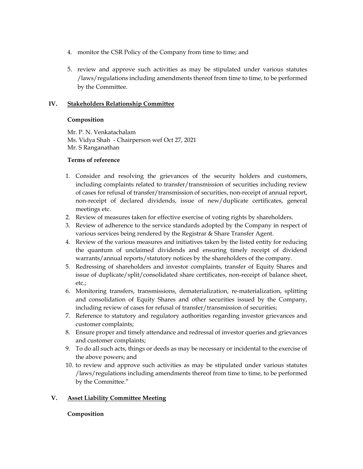- 4. monitor the CSR Policy of the Company from time to time; and
- 5. review and approve such activities as may be stipulated under various statutes /laws/regulations including amendments thereof from time to time, to be performed by the Committee.

## **IV. Stakeholders Relationship Committee**

## **Composition**

Mr. P. N. Venkatachalam Ms. Vidya Shah - Chairperson wef Oct 27, 2021 Mr. S Ranganathan

## **Terms of reference**

- 1. Consider and resolving the grievances of the security holders and customers, including complaints related to transfer/transmission of securities including review of cases for refusal of transfer/transmission of securities, non-receipt of annual report, non-receipt of declared dividends, issue of new/duplicate certificates, general meetings etc.
- 2. Review of measures taken for effective exercise of voting rights by shareholders.
- 3. Review of adherence to the service standards adopted by the Company in respect of various services being rendered by the Registrar & Share Transfer Agent.
- 4. Review of the various measures and initiatives taken by the listed entity for reducing the quantum of unclaimed dividends and ensuring timely receipt of dividend warrants/annual reports/statutory notices by the shareholders of the company.
- 5. Redressing of shareholders and investor complaints, transfer of Equity Shares and issue of duplicate/split/consolidated share certificates, non-receipt of balance sheet, etc.;
- 6. Monitoring transfers, transmissions, dematerialization, re-materialization, splitting and consolidation of Equity Shares and other securities issued by the Company, including review of cases for refusal of transfer/transmission of securities;
- 7. Reference to statutory and regulatory authorities regarding investor grievances and customer complaints;
- 8. Ensure proper and timely attendance and redressal of investor queries and grievances and customer complaints;
- 9. To do all such acts, things or deeds as may be necessary or incidental to the exercise of the above powers; and
- 10. to review and approve such activities as may be stipulated under various statutes /laws/regulations including amendments thereof from time to time, to be performed by the Committee."

# **V. Asset Liability Committee Meeting**

# **Composition**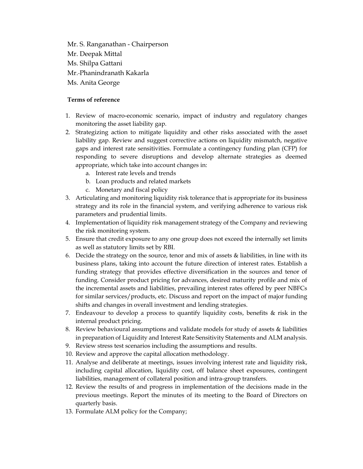Mr. S. Ranganathan - Chairperson Mr. Deepak Mittal Ms. Shilpa Gattani Mr. Phanindranath Kakarla Ms. Anita George

- 1. Review of macro-economic scenario, impact of industry and regulatory changes monitoring the asset liability gap.
- 2. Strategizing action to mitigate liquidity and other risks associated with the asset liability gap. Review and suggest corrective actions on liquidity mismatch, negative gaps and interest rate sensitivities. Formulate a contingency funding plan (CFP) for responding to severe disruptions and develop alternate strategies as deemed appropriate, which take into account changes in:
	- a. Interest rate levels and trends
	- b. Loan products and related markets
	- c. Monetary and fiscal policy
- 3. Articulating and monitoring liquidity risk tolerance that is appropriate for its business strategy and its role in the financial system, and verifying adherence to various risk parameters and prudential limits.
- 4. Implementation of liquidity risk management strategy of the Company and reviewing the risk monitoring system.
- 5. Ensure that credit exposure to any one group does not exceed the internally set limits as well as statutory limits set by RBI.
- 6. Decide the strategy on the source, tenor and mix of assets & liabilities, in line with its business plans, taking into account the future direction of interest rates. Establish a funding strategy that provides effective diversification in the sources and tenor of funding. Consider product pricing for advances, desired maturity profile and mix of the incremental assets and liabilities, prevailing interest rates offered by peer NBFCs for similar services/products, etc. Discuss and report on the impact of major funding shifts and changes in overall investment and lending strategies.
- 7. Endeavour to develop a process to quantify liquidity costs, benefits  $\&$  risk in the internal product pricing.
- 8. Review behavioural assumptions and validate models for study of assets & liabilities in preparation of Liquidity and Interest Rate Sensitivity Statements and ALM analysis.
- 9. Review stress test scenarios including the assumptions and results.
- 10. Review and approve the capital allocation methodology.
- 11. Analyse and deliberate at meetings, issues involving interest rate and liquidity risk, including capital allocation, liquidity cost, off balance sheet exposures, contingent liabilities, management of collateral position and intra-group transfers.
- 12. Review the results of and progress in implementation of the decisions made in the previous meetings. Report the minutes of its meeting to the Board of Directors on quarterly basis.
- 13. Formulate ALM policy for the Company;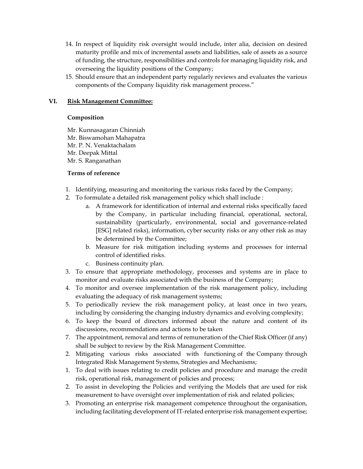- 14. In respect of liquidity risk oversight would include, inter alia, decision on desired maturity profile and mix of incremental assets and liabilities, sale of assets as a source of funding, the structure, responsibilities and controls for managing liquidity risk, and overseeing the liquidity positions of the Company;
- 15. Should ensure that an independent party regularly reviews and evaluates the various components of the Company liquidity risk management process."

## **VI. Risk Management Committee:**

#### **Composition**

Mr. Kunnasagaran Chinniah Mr. Biswamohan Mahapatra Mr. P. N. Venaktachalam Mr. Deepak Mittal Mr. S. Ranganathan

- 1. Identifying, measuring and monitoring the various risks faced by the Company;
- 2. To formulate a detailed risk management policy which shall include :
	- a. A framework for identification of internal and external risks specifically faced by the Company, in particular including financial, operational, sectoral, sustainability (particularly, environmental, social and governance-related [ESG] related risks), information, cyber security risks or any other risk as may be determined by the Committee;
	- b. Measure for risk mitigation including systems and processes for internal control of identified risks.
	- c. Business continuity plan.
- 3. To ensure that appropriate methodology, processes and systems are in place to monitor and evaluate risks associated with the business of the Company;
- 4. To monitor and oversee implementation of the risk management policy, including evaluating the adequacy of risk management systems;
- 5. To periodically review the risk management policy, at least once in two years, including by considering the changing industry dynamics and evolving complexity;
- 6. To keep the board of directors informed about the nature and content of its discussions, recommendations and actions to be taken
- 7. The appointment, removal and terms of remuneration of the Chief Risk Officer (if any) shall be subject to review by the Risk Management Committee.
- 2. Mitigating various risks associated with functioning of the Company through Integrated Risk Management Systems, Strategies and Mechanisms;
- 1. To deal with issues relating to credit policies and procedure and manage the credit risk, operational risk, management of policies and process;
- 2. To assist in developing the Policies and verifying the Models that are used for risk measurement to have oversight over implementation of risk and related policies;
- 3. Promoting an enterprise risk management competence throughout the organisation, including facilitating development of IT-related enterprise risk management expertise;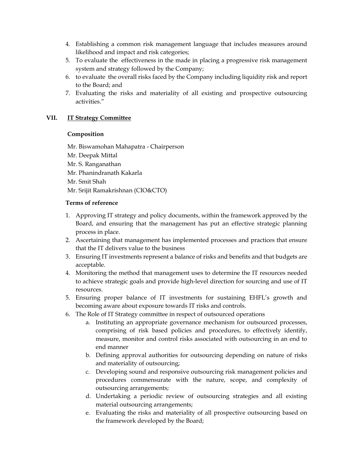- 4. Establishing a common risk management language that includes measures around likelihood and impact and risk categories;
- 5. To evaluate the effectiveness in the made in placing a progressive risk management system and strategy followed by the Company;
- 6. to evaluate the overall risks faced by the Company including liquidity risk and report to the Board; and
- 7. Evaluating the risks and materiality of all existing and prospective outsourcing activities."

# **VII. IT Strategy Committee**

#### **Composition**

Mr. Biswamohan Mahapatra - Chairperson Mr. Deepak Mittal Mr. S. Ranganathan Mr. Phanindranath Kakarla Mr. Smit Shah Mr. Srijit Ramakrishnan (CIO&CTO)

- 1. Approving IT strategy and policy documents, within the framework approved by the Board, and ensuring that the management has put an effective strategic planning process in place.
- 2. Ascertaining that management has implemented processes and practices that ensure that the IT delivers value to the business
- 3. Ensuring IT investments represent a balance of risks and benefits and that budgets are acceptable.
- 4. Monitoring the method that management uses to determine the IT resources needed to achieve strategic goals and provide high-level direction for sourcing and use of IT resources.
- 5. Ensuring proper balance of IT investments for sustaining EHFL's growth and becoming aware about exposure towards IT risks and controls.
- 6. The Role of IT Strategy committee in respect of outsourced operations
	- a. Instituting an appropriate governance mechanism for outsourced processes, comprising of risk based policies and procedures, to effectively identify, measure, monitor and control risks associated with outsourcing in an end to end manner
	- b. Defining approval authorities for outsourcing depending on nature of risks and materiality of outsourcing;
	- c. Developing sound and responsive outsourcing risk management policies and procedures commensurate with the nature, scope, and complexity of outsourcing arrangements;
	- d. Undertaking a periodic review of outsourcing strategies and all existing material outsourcing arrangements;
	- e. Evaluating the risks and materiality of all prospective outsourcing based on the framework developed by the Board;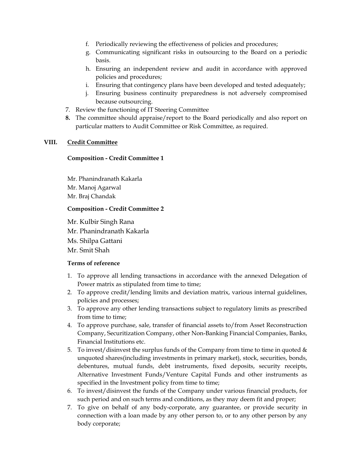- f. Periodically reviewing the effectiveness of policies and procedures;
- g. Communicating significant risks in outsourcing to the Board on a periodic basis.
- h. Ensuring an independent review and audit in accordance with approved policies and procedures;
- i. Ensuring that contingency plans have been developed and tested adequately;
- j. Ensuring business continuity preparedness is not adversely compromised because outsourcing.
- 7. Review the functioning of IT Steering Committee
- **8.** The committee should appraise/report to the Board periodically and also report on particular matters to Audit Committee or Risk Committee, as required.

## **VIII. Credit Committee**

#### **Composition - Credit Committee 1**

Mr. Phanindranath Kakarla Mr. Manoj Agarwal Mr. Braj Chandak

#### **Composition - Credit Committee 2**

Mr. Kulbir Singh Rana

Mr. Phanindranath Kakarla

Ms. Shilpa Gattani

Mr. Smit Shah

- 1. To approve all lending transactions in accordance with the annexed Delegation of Power matrix as stipulated from time to time;
- 2. To approve credit/lending limits and deviation matrix, various internal guidelines, policies and processes;
- 3. To approve any other lending transactions subject to regulatory limits as prescribed from time to time;
- 4. To approve purchase, sale, transfer of financial assets to/from Asset Reconstruction Company, Securitization Company, other Non-Banking Financial Companies, Banks, Financial Institutions etc.
- 5. To invest/disinvest the surplus funds of the Company from time to time in quoted  $\&$ unquoted shares(including investments in primary market), stock, securities, bonds, debentures, mutual funds, debt instruments, fixed deposits, security receipts, Alternative Investment Funds/Venture Capital Funds and other instruments as specified in the Investment policy from time to time;
- 6. To invest/disinvest the funds of the Company under various financial products, for such period and on such terms and conditions, as they may deem fit and proper;
- 7. To give on behalf of any body-corporate, any guarantee, or provide security in connection with a loan made by any other person to, or to any other person by any body corporate;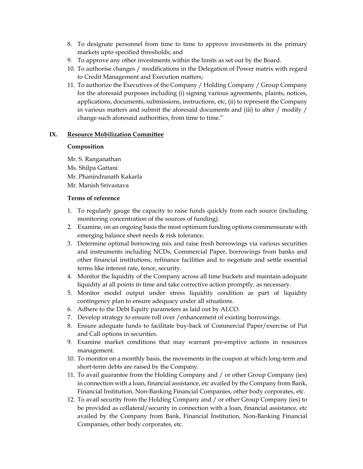- 8. To designate personnel from time to time to approve investments in the primary markets upto specified thresholds; and
- 9. To approve any other investments within the limits as set out by the Board.
- 10. To authorise changes / modifications in the Delegation of Power matrix with regard to Credit Management and Execution matters;
- 11. To authorize the Executives of the Company / Holding Company / Group Company for the aforesaid purposes including (i) signing various agreements, plaints, notices, applications, documents, submissions, instructions, etc, (ii) to represent the Company in various matters and submit the aforesaid documents and (iii) to alter / modify / change such aforesaid authorities, from time to time."

#### **IX. Resource Mobilization Committee**

#### **Composition**

Mr. S. Ranganathan

- Ms. Shilpa Gattani
- Mr. Phanindranath Kakarla
- Mr. Manish Srivastava

- 1. To regularly gauge the capacity to raise funds quickly from each source (including monitoring concentration of the sources of funding).
- 2. Examine, on an ongoing basis the most optimum funding options commensurate with emerging balance sheet needs & risk tolerance.
- 3. Determine optimal borrowing mix and raise fresh borrowings via various securities and instruments including NCDs, Commercial Paper, borrowings from banks and other financial institutions, refinance facilities and to negotiate and settle essential terms like interest rate, tenor, security.
- 4. Monitor the liquidity of the Company across all time buckets and maintain adequate liquidity at all points in time and take corrective action promptly, as necessary.
- 5. Monitor model output under stress liquidity condition as part of liquidity contingency plan to ensure adequacy under all situations.
- 6. Adhere to the Debt Equity parameters as laid out by ALCO.
- 7. Develop strategy to ensure roll over /enhancement of existing borrowings.
- 8. Ensure adequate funds to facilitate buy-back of Commercial Paper/exercise of Put and Call options in securities.
- 9. Examine market conditions that may warrant pre-emptive actions in resources management.
- 10. To monitor on a monthly basis, the movements in the coupon at which long-term and short-term debts are raised by the Company.
- 11. To avail guarantee from the Holding Company and / or other Group Company (ies) in connection with a loan, financial assistance, etc availed by the Company from Bank, Financial Institution, Non-Banking Financial Companies, other body corporates, etc.
- 12. To avail security from the Holding Company and / or other Group Company (ies) to be provided as collateral/security in connection with a loan, financial assistance, etc availed by the Company from Bank, Financial Institution, Non-Banking Financial Companies, other body corporates, etc.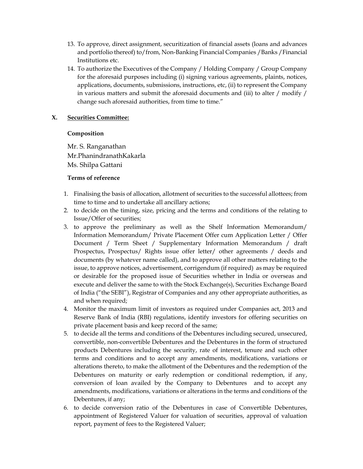- 13. To approve, direct assignment, securitization of financial assets (loans and advances and portfolio thereof) to/from, Non-Banking Financial Companies /Banks /Financial Institutions etc.
- 14. To authorize the Executives of the Company / Holding Company / Group Company for the aforesaid purposes including (i) signing various agreements, plaints, notices, applications, documents, submissions, instructions, etc, (ii) to represent the Company in various matters and submit the aforesaid documents and (iii) to alter / modify / change such aforesaid authorities, from time to time."

## **X. Securities Committee:**

#### **Composition**

Mr. S. Ranganathan Mr.PhanindranathKakarla Ms. Shilpa Gattani

- 1. Finalising the basis of allocation, allotment of securities to the successful allottees; from time to time and to undertake all ancillary actions;
- 2. to decide on the timing, size, pricing and the terms and conditions of the relating to Issue/Offer of securities;
- 3. to approve the preliminary as well as the Shelf Information Memorandum/ Information Memorandum/ Private Placement Offer cum Application Letter / Offer Document / Term Sheet / Supplementary Information Memorandum / draft Prospectus, Prospectus/ Rights issue offer letter/ other agreements / deeds and documents (by whatever name called), and to approve all other matters relating to the issue, to approve notices, advertisement, corrigendum (if required) as may be required or desirable for the proposed issue of Securities whether in India or overseas and execute and deliver the same to with the Stock Exchange(s), Securities Exchange Board of India ("the SEBI"), Registrar of Companies and any other appropriate authorities, as and when required;
- 4. Monitor the maximum limit of investors as required under Companies act, 2013 and Reserve Bank of India (RBI) regulations, identify investors for offering securities on private placement basis and keep record of the same;
- 5. to decide all the terms and conditions of the Debentures including secured, unsecured, convertible, non-convertible Debentures and the Debentures in the form of structured products Debentures including the security, rate of interest, tenure and such other terms and conditions and to accept any amendments, modifications, variations or alterations thereto, to make the allotment of the Debentures and the redemption of the Debentures on maturity or early redemption or conditional redemption, if any, conversion of loan availed by the Company to Debentures and to accept any amendments, modifications, variations or alterations in the terms and conditions of the Debentures, if any;
- 6. to decide conversion ratio of the Debentures in case of Convertible Debentures, appointment of Registered Valuer for valuation of securities, approval of valuation report, payment of fees to the Registered Valuer;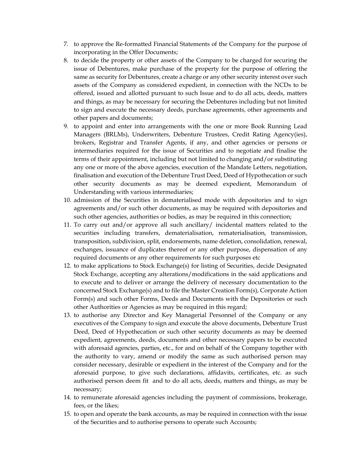- 7. to approve the Re-formatted Financial Statements of the Company for the purpose of incorporating in the Offer Documents;
- 8. to decide the property or other assets of the Company to be charged for securing the issue of Debentures, make purchase of the property for the purpose of offering the same as security for Debentures, create a charge or any other security interest over such assets of the Company as considered expedient, in connection with the NCDs to be offered, issued and allotted pursuant to such Issue and to do all acts, deeds, matters and things, as may be necessary for securing the Debentures including but not limited to sign and execute the necessary deeds, purchase agreements, other agreements and other papers and documents;
- 9. to appoint and enter into arrangements with the one or more Book Running Lead Managers (BRLMs), Underwriters, Debenture Trustees, Credit Rating Agency(ies), brokers, Registrar and Transfer Agents, if any, and other agencies or persons or intermediaries required for the issue of Securities and to negotiate and finalise the terms of their appointment, including but not limited to changing and/or substituting any one or more of the above agencies, execution of the Mandate Letters, negotiation, finalisation and execution of the Debenture Trust Deed, Deed of Hypothecation or such other security documents as may be deemed expedient, Memorandum of Understanding with various intermediaries;
- 10. admission of the Securities in dematerialised mode with depositories and to sign agreements and/or such other documents, as may be required with depositories and such other agencies, authorities or bodies, as may be required in this connection;
- 11. To carry out and/or approve all such ancillary/ incidental matters related to the securities including transfers, dematerialisation, rematerialisation, transmission, transposition, subdivision, split, endorsements, name deletion, consolidation, renewal, exchanges, issuance of duplicates thereof or any other purpose, dispensation of any required documents or any other requirements for such purposes etc
- 12. to make applications to Stock Exchange(s) for listing of Securities, decide Designated Stock Exchange, accepting any alterations/modifications in the said applications and to execute and to deliver or arrange the delivery of necessary documentation to the concerned Stock Exchange(s) and to file the Master Creation Form(s), Corporate Action Form(s) and such other Forms, Deeds and Documents with the Depositories or such other Authorities or Agencies as may be required in this regard;
- 13. to authorise any Director and Key Managerial Personnel of the Company or any executives of the Company to sign and execute the above documents, Debenture Trust Deed, Deed of Hypothecation or such other security documents as may be deemed expedient, agreements, deeds, documents and other necessary papers to be executed with aforesaid agencies, parties, etc., for and on behalf of the Company together with the authority to vary, amend or modify the same as such authorised person may consider necessary, desirable or expedient in the interest of the Company and for the aforesaid purpose, to give such declarations, affidavits, certificates, etc. as such authorised person deem fit and to do all acts, deeds, matters and things, as may be necessary;
- 14. to remunerate aforesaid agencies including the payment of commissions, brokerage, fees, or the likes;
- 15. to open and operate the bank accounts, as may be required in connection with the issue of the Securities and to authorise persons to operate such Accounts;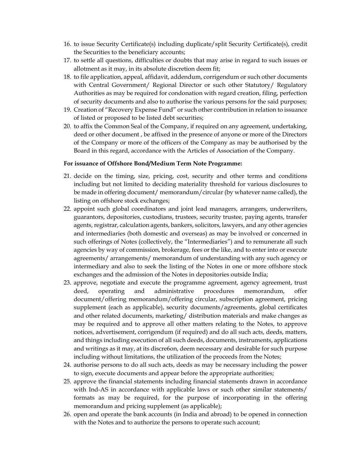- 16. to issue Security Certificate(s) including duplicate/split Security Certificate(s), credit the Securities to the beneficiary accounts;
- 17. to settle all questions, difficulties or doubts that may arise in regard to such issues or allotment as it may, in its absolute discretion deem fit;
- 18. to file application, appeal, affidavit, addendum, corrigendum or such other documents with Central Government/ Regional Director or such other Statutory/ Regulatory Authorities as may be required for condonation with regard creation, filing, perfection of security documents and also to authorise the various persons for the said purposes;
- 19. Creation of "Recovery Expense Fund" or such other contribution in relation to issuance of listed or proposed to be listed debt securities;
- 20. to affix the Common Seal of the Company, if required on any agreement, undertaking, deed or other document , be affixed in the presence of anyone or more of the Directors of the Company or more of the officers of the Company as may be authorised by the Board in this regard, accordance with the Articles of Association of the Company.

#### **For issuance of Offshore Bond/Medium Term Note Programme:**

- 21. decide on the timing, size, pricing, cost, security and other terms and conditions including but not limited to deciding materiality threshold for various disclosures to be made in offering document/ memorandum/circular (by whatever name called), the listing on offshore stock exchanges;
- 22. appoint such global coordinators and joint lead managers, arrangers, underwriters, guarantors, depositories, custodians, trustees, security trustee, paying agents, transfer agents, registrar, calculation agents, bankers, solicitors, lawyers, and any other agencies and intermediaries (both domestic and overseas) as may be involved or concerned in such offerings of Notes (collectively, the "Intermediaries") and to remunerate all such agencies by way of commission, brokerage, fees or the like, and to enter into or execute agreements/ arrangements/ memorandum of understanding with any such agency or intermediary and also to seek the listing of the Notes in one or more offshore stock exchanges and the admission of the Notes in depositories outside India;
- 23. approve, negotiate and execute the programme agreement, agency agreement, trust deed, operating and administrative procedures memorandum, offer document/offering memorandum/offering circular, subscription agreement, pricing supplement (each as applicable), security documents/agreements, global certificates and other related documents, marketing/ distribution materials and make changes as may be required and to approve all other matters relating to the Notes, to approve notices, advertisement, corrigendum (if required) and do all such acts, deeds, matters, and things including execution of all such deeds, documents, instruments, applications and writings as it may, at its discre6on, deem necessary and desirable for such purpose including without limitations, the utilization of the proceeds from the Notes;
- 24. authorise persons to do all such acts, deeds as may be necessary including the power to sign, execute documents and appear before the appropriate authorities;
- 25. approve the financial statements including financial statements drawn in accordance with Ind-AS in accordance with applicable laws or such other similar statements/ formats as may be required, for the purpose of incorporating in the offering memorandum and pricing supplement (as applicable);
- 26. open and operate the bank accounts (in India and abroad) to be opened in connection with the Notes and to authorize the persons to operate such account;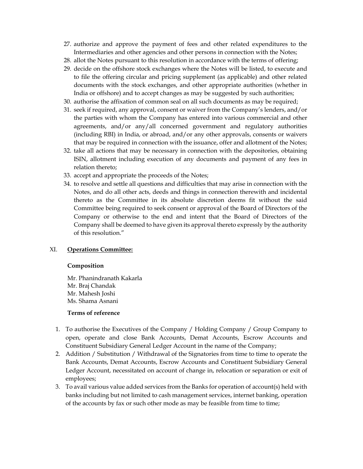- 27. authorize and approve the payment of fees and other related expenditures to the Intermediaries and other agencies and other persons in connection with the Notes;
- 28. allot the Notes pursuant to this resolution in accordance with the terms of offering;
- 29. decide on the offshore stock exchanges where the Notes will be listed, to execute and to file the offering circular and pricing supplement (as applicable) and other related documents with the stock exchanges, and other appropriate authorities (whether in India or offshore) and to accept changes as may be suggested by such authorities;
- 30. authorise the affixation of common seal on all such documents as may be required;
- 31. seek if required, any approval, consent or waiver from the Company's lenders, and/or the parties with whom the Company has entered into various commercial and other agreements, and/or any/all concerned government and regulatory authorities (including RBI) in India, or abroad, and/or any other approvals, consents or waivers that may be required in connection with the issuance, offer and allotment of the Notes;
- 32. take all actions that may be necessary in connection with the depositories, obtaining ISIN, allotment including execution of any documents and payment of any fees in relation thereto;
- 33. accept and appropriate the proceeds of the Notes;
- 34. to resolve and settle all questions and difficulties that may arise in connection with the Notes, and do all other acts, deeds and things in connection therewith and incidental thereto as the Committee in its absolute discretion deems fit without the said Committee being required to seek consent or approval of the Board of Directors of the Company or otherwise to the end and intent that the Board of Directors of the Company shall be deemed to have given its approval thereto expressly by the authority of this resolution."

#### XI. **Operations Committee:**

#### **Composition**

Mr. Phanindranath Kakarla Mr. Braj Chandak Mr. Mahesh Joshi Ms. Shama Asnani

- 1. To authorise the Executives of the Company / Holding Company / Group Company to open, operate and close Bank Accounts, Demat Accounts, Escrow Accounts and Constituent Subsidiary General Ledger Account in the name of the Company;
- 2. Addition / Substitution / Withdrawal of the Signatories from time to time to operate the Bank Accounts, Demat Accounts, Escrow Accounts and Constituent Subsidiary General Ledger Account, necessitated on account of change in, relocation or separation or exit of employees;
- 3. To avail various value added services from the Banks for operation of account(s) held with banks including but not limited to cash management services, internet banking, operation of the accounts by fax or such other mode as may be feasible from time to time;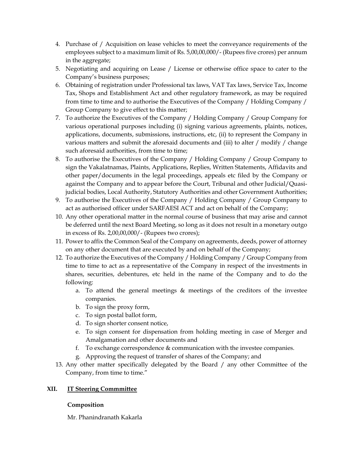- 4. Purchase of / Acquisition on lease vehicles to meet the conveyance requirements of the employees subject to a maximum limit of Rs. 5,00,00,000/- (Rupees five crores) per annum in the aggregate;
- 5. Negotiating and acquiring on Lease / License or otherwise office space to cater to the Company's business purposes;
- 6. Obtaining of registration under Professional tax laws, VAT Tax laws, Service Tax, Income Tax, Shops and Establishment Act and other regulatory framework, as may be required from time to time and to authorise the Executives of the Company / Holding Company / Group Company to give effect to this matter;
- 7. To authorize the Executives of the Company / Holding Company / Group Company for various operational purposes including (i) signing various agreements, plaints, notices, applications, documents, submissions, instructions, etc, (ii) to represent the Company in various matters and submit the aforesaid documents and (iii) to alter / modify / change such aforesaid authorities, from time to time;
- 8. To authorise the Executives of the Company / Holding Company / Group Company to sign the Vakalatnamas, Plaints, Applications, Replies, Written Statements, Affidavits and other paper/documents in the legal proceedings, appeals etc filed by the Company or against the Company and to appear before the Court, Tribunal and other Judicial/Quasijudicial bodies, Local Authority, Statutory Authorities and other Government Authorities;
- 9. To authorise the Executives of the Company / Holding Company / Group Company to act as authorised officer under SARFAESI ACT and act on behalf of the Company;
- 10. Any other operational matter in the normal course of business that may arise and cannot be deferred until the next Board Meeting, so long as it does not result in a monetary outgo in excess of Rs. 2,00,00,000/- (Rupees two crores);
- 11. Power to affix the Common Seal of the Company on agreements, deeds, power of attorney on any other document that are executed by and on behalf of the Company;
- 12. To authorize the Executives of the Company / Holding Company / Group Company from time to time to act as a representative of the Company in respect of the investments in shares, securities, debentures, etc held in the name of the Company and to do the following:
	- a. To attend the general meetings & meetings of the creditors of the investee companies.
	- b. To sign the proxy form,
	- c. To sign postal ballot form,
	- d. To sign shorter consent notice,
	- e. To sign consent for dispensation from holding meeting in case of Merger and Amalgamation and other documents and
	- f. To exchange correspondence & communication with the investee companies.
	- g. Approving the request of transfer of shares of the Company; and
- 13. Any other matter specifically delegated by the Board / any other Committee of the Company, from time to time."

# **XII. IT Steering Commmittee**

# **Composition**

Mr. Phanindranath Kakarla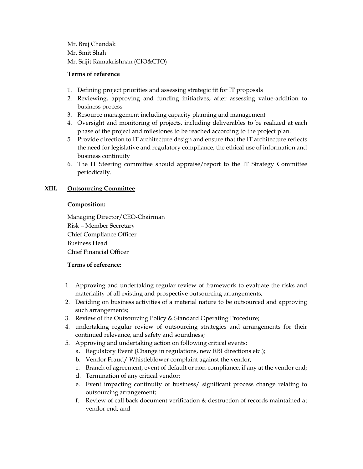Mr. Braj Chandak Mr. Smit Shah Mr. Srijit Ramakrishnan (CIO&CTO)

## **Terms of reference**

- 1. Defining project priorities and assessing strategic fit for IT proposals
- 2. Reviewing, approving and funding initiatives, after assessing value-addition to business process
- 3. Resource management including capacity planning and management
- 4. Oversight and monitoring of projects, including deliverables to be realized at each phase of the project and milestones to be reached according to the project plan.
- 5. Provide direction to IT architecture design and ensure that the IT architecture reflects the need for legislative and regulatory compliance, the ethical use of information and business continuity
- 6. The IT Steering committee should appraise/report to the IT Strategy Committee periodically.

## **XIII. Outsourcing Committee**

#### **Composition:**

Managing Director/CEO-Chairman Risk – Member Secretary Chief Compliance Officer Business Head Chief Financial Officer

- 1. Approving and undertaking regular review of framework to evaluate the risks and materiality of all existing and prospective outsourcing arrangements;
- 2. Deciding on business activities of a material nature to be outsourced and approving such arrangements;
- 3. Review of the Outsourcing Policy & Standard Operating Procedure;
- 4. undertaking regular review of outsourcing strategies and arrangements for their continued relevance, and safety and soundness;
- 5. Approving and undertaking action on following critical events:
	- a. Regulatory Event (Change in regulations, new RBI directions etc.);
	- b. Vendor Fraud/ Whistleblower complaint against the vendor;
	- c. Branch of agreement, event of default or non-compliance, if any at the vendor end;
	- d. Termination of any critical vendor;
	- e. Event impacting continuity of business/ significant process change relating to outsourcing arrangement;
	- f. Review of call back document verification & destruction of records maintained at vendor end; and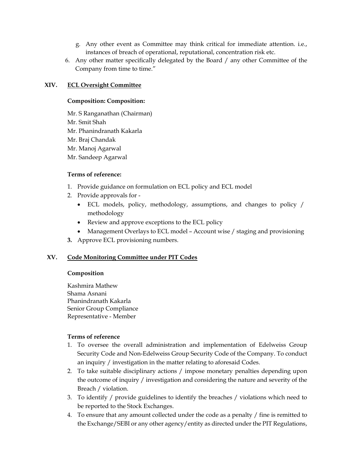- g. Any other event as Committee may think critical for immediate attention. i.e., instances of breach of operational, reputational, concentration risk etc.
- 6. Any other matter specifically delegated by the Board / any other Committee of the Company from time to time."

## **XIV. ECL Oversight Committee**

#### **Composition: Composition:**

Mr. S Ranganathan (Chairman) Mr. Smit Shah Mr. Phanindranath Kakarla Mr. Braj Chandak Mr. Manoj Agarwal Mr. Sandeep Agarwal

#### **Terms of reference:**

- 1. Provide guidance on formulation on ECL policy and ECL model
- 2. Provide approvals for
	- ECL models, policy, methodology, assumptions, and changes to policy / methodology
	- Review and approve exceptions to the ECL policy
	- Management Overlays to ECL model Account wise / staging and provisioning
- **3.** Approve ECL provisioning numbers.

# **XV. Code Monitoring Committee under PIT Codes**

#### **Composition**

Kashmira Mathew Shama Asnani Phanindranath Kakarla Senior Group Compliance Representative - Member

- 1. To oversee the overall administration and implementation of Edelweiss Group Security Code and Non-Edelweiss Group Security Code of the Company. To conduct an inquiry / investigation in the matter relating to aforesaid Codes.
- 2. To take suitable disciplinary actions / impose monetary penalties depending upon the outcome of inquiry / investigation and considering the nature and severity of the Breach / violation.
- 3. To identify / provide guidelines to identify the breaches / violations which need to be reported to the Stock Exchanges.
- 4. To ensure that any amount collected under the code as a penalty / fine is remitted to the Exchange/SEBI or any other agency/entity as directed under the PIT Regulations,